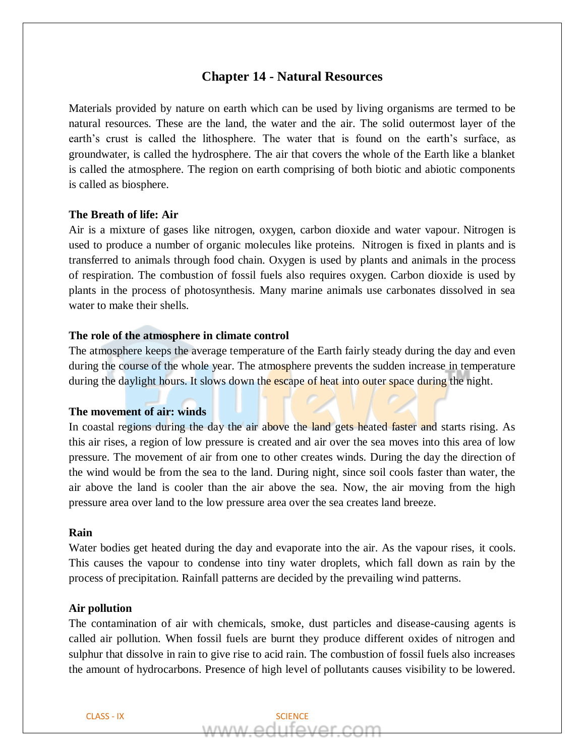# **Chapter 14 - Natural Resources**

Materials provided by nature on earth which can be used by living organisms are termed to be natural resources. These are the land, the water and the air. The solid outermost layer of the earth's crust is called the lithosphere. The water that is found on the earth's surface, as groundwater, is called the hydrosphere. The air that covers the whole of the Earth like a blanket is called the atmosphere. The region on earth comprising of both biotic and abiotic components is called as biosphere.

### **The Breath of life: Air**

Air is a mixture of gases like nitrogen, oxygen, carbon dioxide and water vapour. Nitrogen is used to produce a number of organic molecules like proteins. Nitrogen is fixed in plants and is transferred to animals through food chain. Oxygen is used by plants and animals in the process of respiration. The combustion of fossil fuels also requires oxygen. Carbon dioxide is used by plants in the process of photosynthesis. Many marine animals use carbonates dissolved in sea water to make their shells.

## **The role of the atmosphere in climate control**

The atmosphere keeps the average temperature of the Earth fairly steady during the day and even during the course of the whole year. The atmosphere prevents the sudden increase in temperature during the daylight hours. It slows down the escape of heat into outer space during the night.

## **The movement of air: winds**

In coastal regions during the day the air above the land gets heated faster and starts rising. As this air rises, a region of low pressure is created and air over the sea moves into this area of low pressure. The movement of air from one to other creates winds. During the day the direction of the wind would be from the sea to the land. During night, since soil cools faster than water, the air above the land is cooler than the air above the sea. Now, the air moving from the high pressure area over land to the low pressure area over the sea creates land breeze.

## **Rain**

Water bodies get heated during the day and evaporate into the air. As the vapour rises, it cools. This causes the vapour to condense into tiny water droplets, which fall down as rain by the process of precipitation. Rainfall patterns are decided by the prevailing wind patterns.

## **Air pollution**

The contamination of air with chemicals, smoke, dust particles and disease-causing agents is called air pollution. When fossil fuels are burnt they produce different oxides of nitrogen and sulphur that dissolve in rain to give rise to acid rain. The combustion of fossil fuels also increases the amount of hydrocarbons. Presence of high level of pollutants causes visibility to be lowered.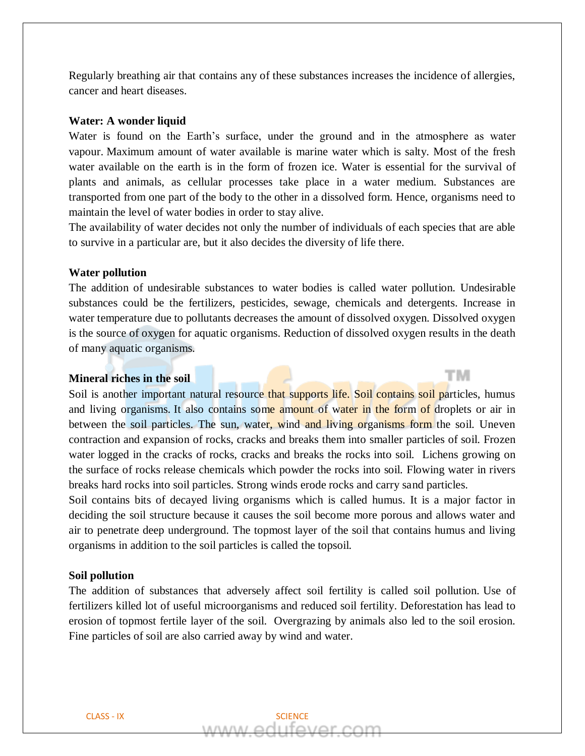Regularly breathing air that contains any of these substances increases the incidence of allergies, cancer and heart diseases.

### **Water: A wonder liquid**

Water is found on the Earth's surface, under the ground and in the atmosphere as water vapour. Maximum amount of water available is marine water which is salty. Most of the fresh water available on the earth is in the form of frozen ice. Water is essential for the survival of plants and animals, as cellular processes take place in a water medium. Substances are transported from one part of the body to the other in a dissolved form. Hence, organisms need to maintain the level of water bodies in order to stay alive.

The availability of water decides not only the number of individuals of each species that are able to survive in a particular are, but it also decides the diversity of life there.

## **Water pollution**

The addition of undesirable substances to water bodies is called water pollution. Undesirable substances could be the fertilizers, pesticides, sewage, chemicals and detergents. Increase in water temperature due to pollutants decreases the amount of dissolved oxygen. Dissolved oxygen is the source of oxygen for aquatic organisms. Reduction of dissolved oxygen results in the death of many aquatic organisms.

тм

### **Mineral riches in the soil**

Soil is another important natural resource that supports life. Soil contains soil particles, humus and living organisms. It also contains some amount of water in the form of droplets or air in between the soil particles. The sun, water, wind and living organisms form the soil. Uneven contraction and expansion of rocks, cracks and breaks them into smaller particles of soil. Frozen water logged in the cracks of rocks, cracks and breaks the rocks into soil. Lichens growing on the surface of rocks release chemicals which powder the rocks into soil. Flowing water in rivers breaks hard rocks into soil particles. Strong winds erode rocks and carry sand particles.

Soil contains bits of decayed living organisms which is called humus. It is a major factor in deciding the soil structure because it causes the soil become more porous and allows water and air to penetrate deep underground. The topmost layer of the soil that contains humus and living organisms in addition to the soil particles is called the topsoil.

#### **Soil pollution**

The addition of substances that adversely affect soil fertility is called soil pollution. Use of fertilizers killed lot of useful microorganisms and reduced soil fertility. Deforestation has lead to erosion of topmost fertile layer of the soil. Overgrazing by animals also led to the soil erosion. Fine particles of soil are also carried away by wind and water.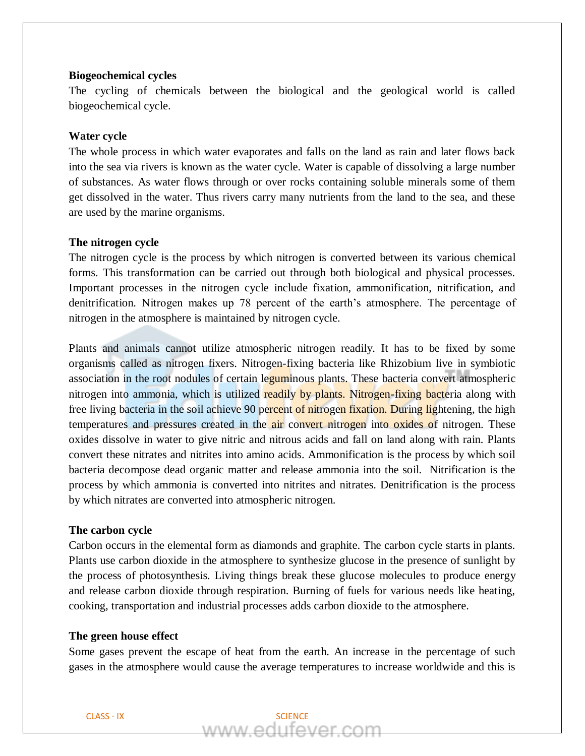### **Biogeochemical cycles**

The cycling of chemicals between the biological and the geological world is called biogeochemical cycle.

## **Water cycle**

The whole process in which water evaporates and falls on the land as rain and later flows back into the sea via rivers is known as the water cycle. Water is capable of dissolving a large number of substances. As water flows through or over rocks containing soluble minerals some of them get dissolved in the water. Thus rivers carry many nutrients from the land to the sea, and these are used by the marine organisms.

## **The nitrogen cycle**

The nitrogen cycle is the process by which nitrogen is converted between its various chemical forms. This transformation can be carried out through both biological and physical processes. Important processes in the nitrogen cycle include fixation, ammonification, nitrification, and denitrification. Nitrogen makes up 78 percent of the earth's atmosphere. The percentage of nitrogen in the atmosphere is maintained by nitrogen cycle.

Plants and animals cannot utilize atmospheric nitrogen readily. It has to be fixed by some organisms called as nitrogen fixers. Nitrogen-fixing bacteria like Rhizobium live in symbiotic association in the root nodules of certain leguminous plants. These bacteria convert atmospheric nitrogen into ammonia, which is utilized readily by plants. Nitrogen-fixing bacteria along with free living bacteria in the soil achieve 90 percent of nitrogen fixation. During lightening, the high temperatures and pressures created in the air convert nitrogen into oxides of nitrogen. These oxides dissolve in water to give nitric and nitrous acids and fall on land along with rain. Plants convert these nitrates and nitrites into amino acids. Ammonification is the process by which soil bacteria decompose dead organic matter and release ammonia into the soil. Nitrification is the process by which ammonia is converted into nitrites and nitrates. Denitrification is the process by which nitrates are converted into atmospheric nitrogen.

### **The carbon cycle**

Carbon occurs in the elemental form as diamonds and graphite. The carbon cycle starts in plants. Plants use carbon dioxide in the atmosphere to synthesize glucose in the presence of sunlight by the process of photosynthesis. Living things break these glucose molecules to produce energy and release carbon dioxide through respiration. Burning of fuels for various needs like heating, cooking, transportation and industrial processes adds carbon dioxide to the atmosphere.

#### **The green house effect**

Some gases prevent the escape of heat from the earth. An increase in the percentage of such gases in the atmosphere would cause the average temperatures to increase worldwide and this is